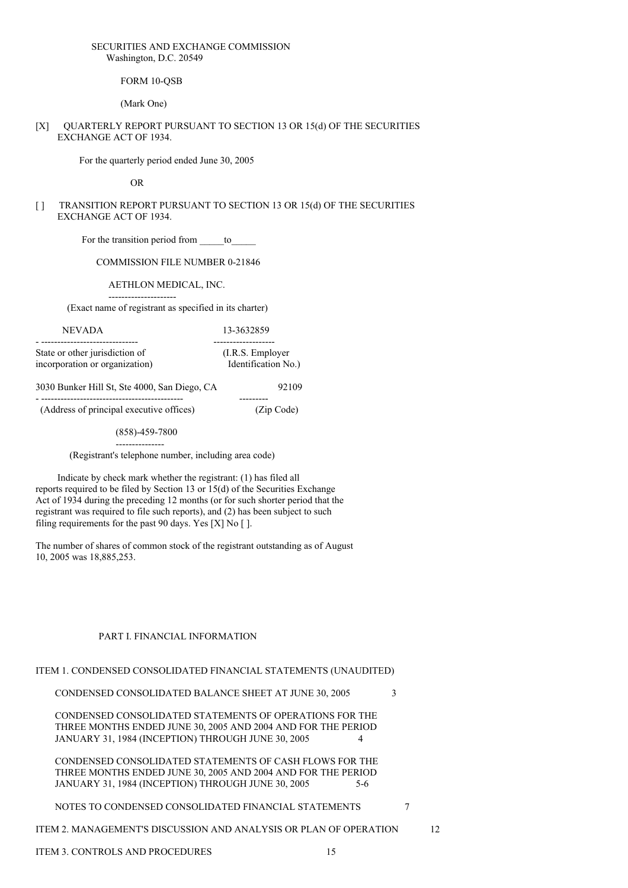## SECURITIES AND EXCHANGE COMMISSION Washington, D.C. 20549

### FORM 10-OSB

(Mark One)

[X] QUARTERLY REPORT PURSUANT TO SECTION 13 OR 15(d) OF THE SECURITIES EXCHANGE ACT OF 1934.

For the quarterly period ended June 30, 2005

OR

# [ ] TRANSITION REPORT PURSUANT TO SECTION 13 OR 15(d) OF THE SECURITIES EXCHANGE ACT OF 1934.

For the transition period from to

COMMISSION FILE NUMBER 0-21846

# AETHLON MEDICAL, INC.

--------------------- (Exact name of registrant as specified in its charter)

NEVADA 13-3632859

- ------------------------------ -------------------

State or other jurisdiction of (I.R.S. Employer incorporation or organization) Identification No.)

3030 Bunker Hill St, Ste 4000, San Diego, CA 92109

- -------------------------------------------- --------- (Address of principal executive offices) (Zip Code)

> (858)-459-7800 ---------------

(Registrant's telephone number, including area code)

Indicate by check mark whether the registrant: (1) has filed all reports required to be filed by Section 13 or 15(d) of the Securities Exchange Act of 1934 during the preceding 12 months (or for such shorter period that the registrant was required to file such reports), and (2) has been subject to such filing requirements for the past 90 days. Yes [X] No [ ].

The number of shares of common stock of the registrant outstanding as of August 10, 2005 was 18,885,253.

# PART I. FINANCIAL INFORMATION

# ITEM 1. CONDENSED CONSOLIDATED FINANCIAL STATEMENTS (UNAUDITED)

CONDENSED CONSOLIDATED BALANCE SHEET AT JUNE 30, 2005 3

CONDENSED CONSOLIDATED STATEMENTS OF OPERATIONS FOR THE THREE MONTHS ENDED JUNE 30, 2005 AND 2004 AND FOR THE PERIOD JANUARY 31, 1984 (INCEPTION) THROUGH JUNE 30, 2005 4

CONDENSED CONSOLIDATED STATEMENTS OF CASH FLOWS FOR THE THREE MONTHS ENDED JUNE 30, 2005 AND 2004 AND FOR THE PERIOD JANUARY 31, 1984 (INCEPTION) THROUGH JUNE 30, 2005 5-6

NOTES TO CONDENSED CONSOLIDATED FINANCIAL STATEMENTS  $7$ 

ITEM 2. MANAGEMENT'S DISCUSSION AND ANALYSIS OR PLAN OF OPERATION 12

ITEM 3. CONTROLS AND PROCEDURES 15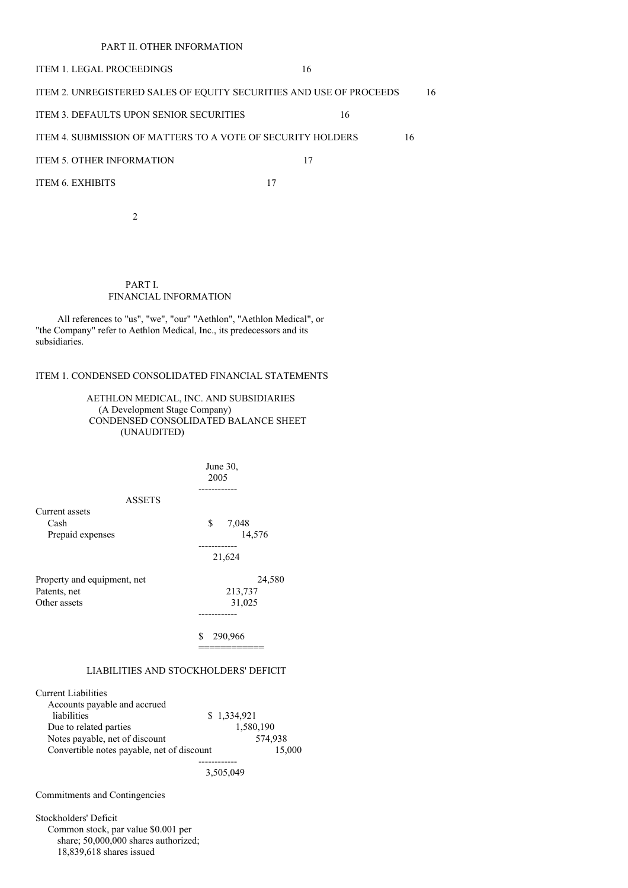# PART II. OTHER INFORMATION

| <b>ITEM 1. LEGAL PROCEEDINGS</b>                                    | 16 |    |    |
|---------------------------------------------------------------------|----|----|----|
| ITEM 2. UNREGISTERED SALES OF EQUITY SECURITIES AND USE OF PROCEEDS |    |    | 16 |
| <b>ITEM 3. DEFAULTS UPON SENIOR SECURITIES</b>                      | 16 |    |    |
| <b>ITEM 4. SUBMISSION OF MATTERS TO A VOTE OF SECURITY HOLDERS</b>  |    | 16 |    |
| <b>ITEM 5. OTHER INFORMATION</b>                                    | 17 |    |    |
| <b>ITEM 6. EXHIBITS</b>                                             | 17 |    |    |
|                                                                     |    |    |    |

 $\overline{2}$ 

# PART I. FINANCIAL INFORMATION

All references to "us", "we", "our" "Aethlon", "Aethlon Medical", or "the Company" refer to Aethlon Medical, Inc., its predecessors and its subsidiaries.

# ITEM 1. CONDENSED CONSOLIDATED FINANCIAL STATEMENTS

# AETHLON MEDICAL, INC. AND SUBSIDIARIES (A Development Stage Company) CONDENSED CONSOLIDATED BALANCE SHEET (UNAUDITED)

|                                                            | June 30,<br>2005<br>----------        |
|------------------------------------------------------------|---------------------------------------|
| <b>ASSETS</b>                                              |                                       |
| Current assets<br>Cash<br>Prepaid expenses                 | \$<br>7,048<br>14,576                 |
|                                                            | -----------<br>21,624                 |
| Property and equipment, net                                | 24,580                                |
| Patents, net                                               | 213,737                               |
| Other assets                                               | 31,025<br>.                           |
|                                                            | 290,966<br>\$                         |
|                                                            | LIABILITIES AND STOCKHOLDERS' DEFICIT |
| <b>Current Liabilities</b><br>Accounts payable and accrued |                                       |

| \$1,334,921 |
|-------------|
|             |
| 1,580,190   |
| 574.938     |
| 15,000      |
|             |
|             |

3,505,049

Commitments and Contingencies

Stockholders' Deficit Common stock, par value \$0.001 per share; 50,000,000 shares authorized; 18,839,618 shares issued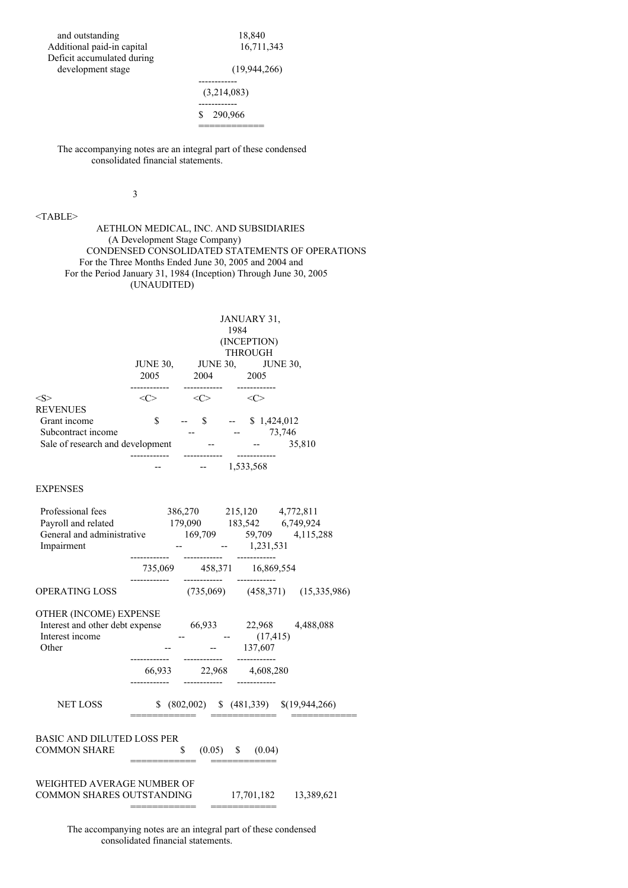and outstanding 18,840 Additional paid-in capital 16,711,343 Deficit accumulated during development stage (19,944,266)

------------

(3,214,083) ------------ \$ 290,966 ============

The accompanying notes are an integral part of these condensed consolidated financial statements.

3

#### $<$ TABLE>

AETHLON MEDICAL, INC. AND SUBSIDIARIES (A Development Stage Company) CONDENSED CONSOLIDATED STATEMENTS OF OPERATIONS For the Three Months Ended June 30, 2005 and 2004 and For the Period January 31, 1984 (Inception) Through June 30, 2005 (UNAUDITED)

|                                                                                                               |               |                                                                               | JANUARY 31,<br>1984<br>(INCEPTION)<br><b>THROUGH</b> |                         |                                        |
|---------------------------------------------------------------------------------------------------------------|---------------|-------------------------------------------------------------------------------|------------------------------------------------------|-------------------------|----------------------------------------|
|                                                                                                               | 2005          | JUNE 30, JUNE 30, JUNE 30,<br>2004                                            |                                                      | 2005                    |                                        |
| $<\!\!S\!\!>$<br><b>REVENUES</b>                                                                              | $<\!\!C\!\!>$ | <<>                                                                           | $\langle C \rangle$                                  |                         |                                        |
| Grant income<br>Sale of research and development                                                              | $\mathbb{S}$  | $-$ \$ $-$ \$ 1,424,012                                                       |                                                      | 73,746                  | 35,810                                 |
|                                                                                                               | ------        |                                                                               | $-1,533,568$                                         |                         |                                        |
| <b>EXPENSES</b>                                                                                               |               |                                                                               |                                                      |                         |                                        |
| Professional fees<br>Payroll and related<br>General and administrative 169,709 59,709 4,115,288<br>Impairment |               | 386,270 215,120 4,772,811<br>$179,090$ $183,542$ $6,749,924$<br>$  1,231,531$ |                                                      |                         |                                        |
|                                                                                                               |               | 735,069 458,371 16,869,554<br>------------                                    |                                                      | ------------            |                                        |
| OPERATING LOSS                                                                                                |               |                                                                               |                                                      |                         | $(735,069)$ $(458,371)$ $(15,335,986)$ |
| OTHER (INCOME) EXPENSE<br>Interest and other debt expense<br>Interest income<br>Other                         |               |                                                                               |                                                      | $-$ (17,415)<br>137,607 | 66,933 22,968 4,488,088                |
|                                                                                                               | 66,933        |                                                                               |                                                      | 22,968 4,608,280        |                                        |
| NET LOSS                                                                                                      |               | $$ (802,002) $ (481,339) $ (19,944,266)$                                      |                                                      |                         |                                        |
| BASIC AND DILUTED LOSS PER<br>COMMON SHARE                                                                    |               | \$                                                                            | $(0.05)$ \$ $(0.04)$                                 |                         |                                        |
| WEIGHTED AVERAGE NUMBER OF<br>COMMON SHARES OUTSTANDING                                                       |               |                                                                               |                                                      |                         | 17,701,182 13,389,621                  |

The accompanying notes are an integral part of these condensed consolidated financial statements.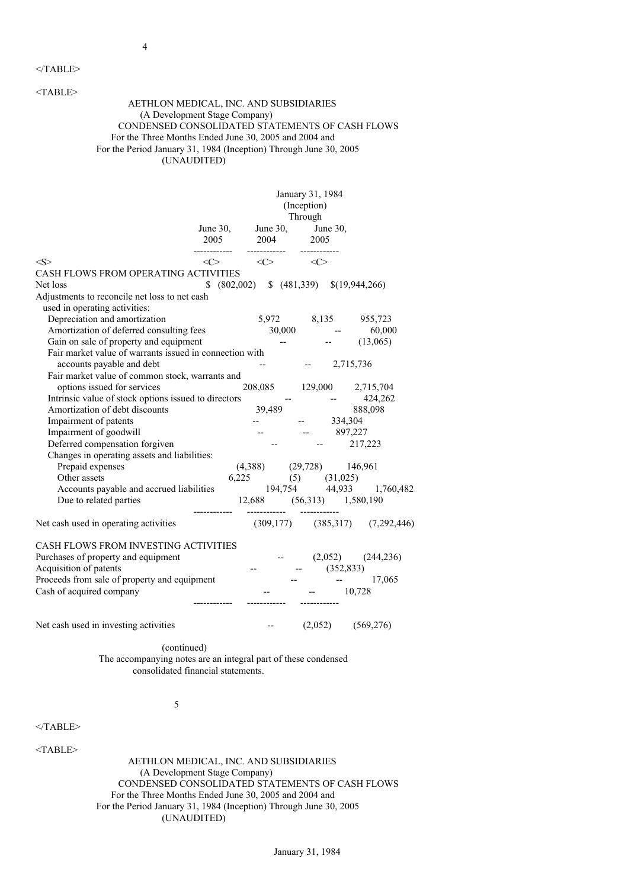# $<$ /TABLE>

4

# <TABLE>

# AETHLON MEDICAL, INC. AND SUBSIDIARIES (A Development Stage Company) CONDENSED CONSOLIDATED STATEMENTS OF CASH FLOWS For the Three Months Ended June 30, 2005 and 2004 and For the Period January 31, 1984 (Inception) Through June 30, 2005 (UNAUDITED)

|                                                               | 2005 | June 30, June 30, June 30, | 2004          | January 31, 1984<br>(Inception)<br>Through<br>2005 |        |                                          |
|---------------------------------------------------------------|------|----------------------------|---------------|----------------------------------------------------|--------|------------------------------------------|
| <s></s>                                                       | <<>  |                            |               | $\langle C \rangle$ $\langle C \rangle$            |        |                                          |
| CASH FLOWS FROM OPERATING ACTIVITIES                          |      |                            |               |                                                    |        |                                          |
| Net loss                                                      |      |                            |               |                                                    |        | $$ (802,002) $ (481,339) $ (19,944,266)$ |
| Adjustments to reconcile net loss to net cash                 |      |                            |               |                                                    |        |                                          |
| used in operating activities:                                 |      |                            |               |                                                    |        |                                          |
| Depreciation and amortization                                 |      |                            |               |                                                    |        | 5,972 8,135 955,723                      |
| Amortization of deferred consulting fees                      |      |                            |               | $30,000$ --                                        |        | 60,000                                   |
| Gain on sale of property and equipment                        |      |                            | $\sim$ $\sim$ |                                                    |        | (13,065)                                 |
| Fair market value of warrants issued in connection with       |      |                            |               |                                                    |        |                                          |
| accounts payable and debt                                     |      |                            |               | $-2,715,736$                                       |        |                                          |
| Fair market value of common stock, warrants and               |      |                            |               |                                                    |        |                                          |
| options issued for services                                   |      |                            |               |                                                    |        | 208,085 129,000 2,715,704                |
| Intrinsic value of stock options issued to directors          |      |                            |               |                                                    |        | $-424,262$                               |
| Amortization of debt discounts                                |      |                            | 39,489        |                                                    |        | 888,098                                  |
| Impairment of patents                                         |      |                            |               | $-334,304$                                         |        |                                          |
| Impairment of goodwill                                        |      |                            |               | -- - 897,227                                       |        |                                          |
| Deferred compensation forgiven                                |      |                            |               |                                                    |        | 217,223                                  |
| Changes in operating assets and liabilities:                  |      |                            |               |                                                    |        |                                          |
| Prepaid expenses                                              |      |                            |               | $(4,388)$ $(29,728)$ $146,961$                     |        |                                          |
| Other assets                                                  |      |                            |               | $6,225$ (5) $(31,025)$                             |        |                                          |
| Accounts payable and accrued liabilities                      |      |                            |               |                                                    |        | 194,754 44,933 1,760,482                 |
| Due to related parties                                        |      | 12,688 (56,313) 1,580,190  |               |                                                    |        |                                          |
|                                                               |      |                            |               |                                                    |        |                                          |
| Net cash used in operating activities                         |      |                            |               |                                                    |        | $(309,177)$ $(385,317)$ $(7,292,446)$    |
| CASH FLOWS FROM INVESTING ACTIVITIES                          |      |                            |               |                                                    |        |                                          |
|                                                               |      |                            |               |                                                    |        | $-$ (2,052) (244,236)                    |
| Purchases of property and equipment<br>Acquisition of patents |      |                            |               | $-$ (352,833)                                      |        |                                          |
| Proceeds from sale of property and equipment                  |      |                            |               |                                                    |        |                                          |
| Cash of acquired company                                      |      |                            |               |                                                    | 10,728 | 17,065                                   |
|                                                               |      |                            |               |                                                    |        |                                          |
|                                                               |      |                            |               |                                                    |        |                                          |
| Net cash used in investing activities                         |      |                            |               |                                                    |        | $(2,052)$ $(569,276)$                    |

(continued) The accompanying notes are an integral part of these condensed consolidated financial statements.

5

 $<$ /TABLE>

 $<$ TABLE>

AETHLON MEDICAL, INC. AND SUBSIDIARIES (A Development Stage Company) CONDENSED CONSOLIDATED STATEMENTS OF CASH FLOWS For the Three Months Ended June 30, 2005 and 2004 and For the Period January 31, 1984 (Inception) Through June 30, 2005 (UNAUDITED)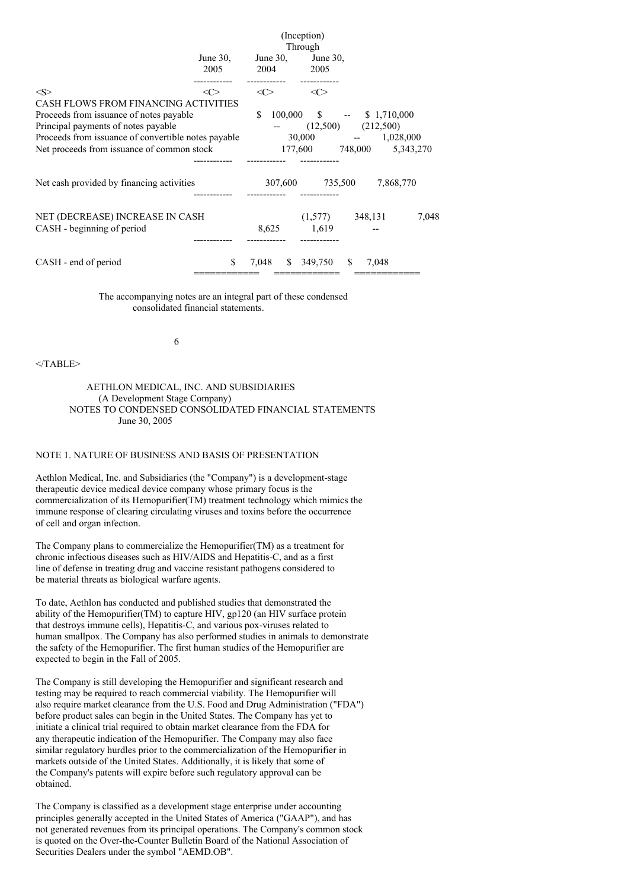|                                                                                                                                                                                     | (Inception)<br>Through |                     |         |                                                                      |    |                        |                        |
|-------------------------------------------------------------------------------------------------------------------------------------------------------------------------------------|------------------------|---------------------|---------|----------------------------------------------------------------------|----|------------------------|------------------------|
|                                                                                                                                                                                     | June $30$ ,<br>2005    | June $30$ ,<br>2004 |         | June 30,<br>2005                                                     |    |                        |                        |
| < S ><br><b>CASH FLOWS FROM FINANCING ACTIVITIES</b>                                                                                                                                | <<>                    | <<>                 |         | <<>                                                                  |    |                        |                        |
| Proceeds from issuance of notes payable<br>Principal payments of notes payable<br>Proceeds from issuance of convertible notes payable<br>Net proceeds from issuance of common stock |                        | \$.                 |         | $100,000 \quad$ \$ -- \$ 1,710,000<br>$30,000$ --<br>177,600 748,000 |    | $(12,500)$ $(212,500)$ | 1,028,000<br>5,343,270 |
| Net cash provided by financing activities                                                                                                                                           |                        |                     | 307,600 | 735,500                                                              |    | 7,868,770              |                        |
| NET (DECREASE) INCREASE IN CASH<br>CASH - beginning of period                                                                                                                       |                        | 8,625               |         | $(1,577)$ 348,131<br>1,619                                           |    |                        | 7,048                  |
| CASH - end of period                                                                                                                                                                | \$                     | 7.048               | S.      | 349,750                                                              | \$ | 7,048                  |                        |

The accompanying notes are an integral part of these condensed consolidated financial statements.

 $<$ /TABLE>

# AETHLON MEDICAL, INC. AND SUBSIDIARIES (A Development Stage Company) NOTES TO CONDENSED CONSOLIDATED FINANCIAL STATEMENTS June 30, 2005

# NOTE 1. NATURE OF BUSINESS AND BASIS OF PRESENTATION

6

Aethlon Medical, Inc. and Subsidiaries (the "Company") is a development-stage therapeutic device medical device company whose primary focus is the commercialization of its Hemopurifier(TM) treatment technology which mimics the immune response of clearing circulating viruses and toxins before the occurrence of cell and organ infection.

The Company plans to commercialize the Hemopurifier(TM) as a treatment for chronic infectious diseases such as HIV/AIDS and Hepatitis-C, and as a first line of defense in treating drug and vaccine resistant pathogens considered to be material threats as biological warfare agents.

To date, Aethlon has conducted and published studies that demonstrated the ability of the Hemopurifier(TM) to capture HIV, gp120 (an HIV surface protein that destroys immune cells), Hepatitis-C, and various pox-viruses related to human smallpox. The Company has also performed studies in animals to demonstrate the safety of the Hemopurifier. The first human studies of the Hemopurifier are expected to begin in the Fall of 2005.

The Company is still developing the Hemopurifier and significant research and testing may be required to reach commercial viability. The Hemopurifier will also require market clearance from the U.S. Food and Drug Administration ("FDA") before product sales can begin in the United States. The Company has yet to initiate a clinical trial required to obtain market clearance from the FDA for any therapeutic indication of the Hemopurifier. The Company may also face similar regulatory hurdles prior to the commercialization of the Hemopurifier in markets outside of the United States. Additionally, it is likely that some of the Company's patents will expire before such regulatory approval can be obtained.

The Company is classified as a development stage enterprise under accounting principles generally accepted in the United States of America ("GAAP"), and has not generated revenues from its principal operations. The Company's common stock is quoted on the Over-the-Counter Bulletin Board of the National Association of Securities Dealers under the symbol "AEMD.OB".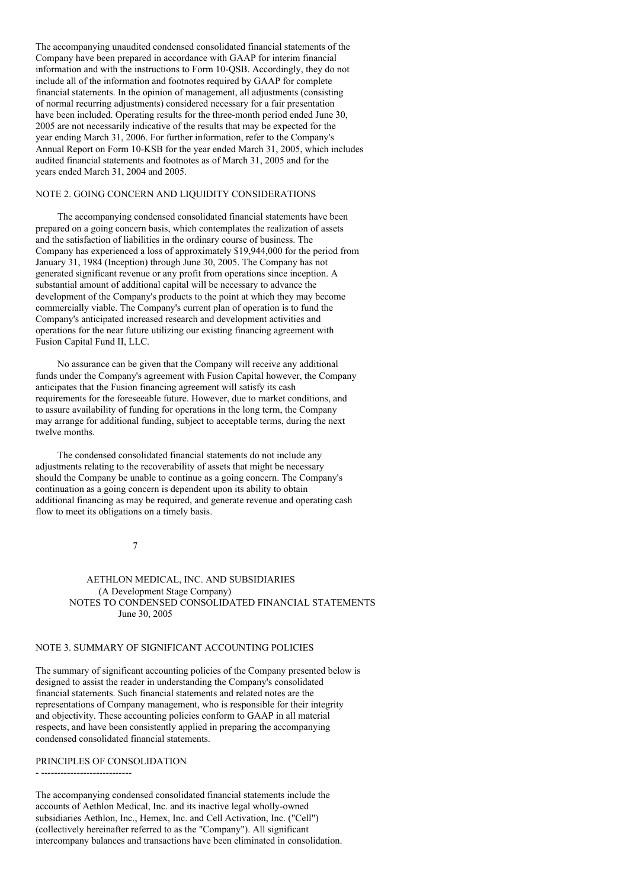The accompanying unaudited condensed consolidated financial statements of the Company have been prepared in accordance with GAAP for interim financial information and with the instructions to Form 10-QSB. Accordingly, they do not include all of the information and footnotes required by GAAP for complete financial statements. In the opinion of management, all adjustments (consisting of normal recurring adjustments) considered necessary for a fair presentation have been included. Operating results for the three-month period ended June 30, 2005 are not necessarily indicative of the results that may be expected for the year ending March 31, 2006. For further information, refer to the Company's Annual Report on Form 10-KSB for the year ended March 31, 2005, which includes audited financial statements and footnotes as of March 31, 2005 and for the years ended March 31, 2004 and 2005.

# NOTE 2. GOING CONCERN AND LIQUIDITY CONSIDERATIONS

The accompanying condensed consolidated financial statements have been prepared on a going concern basis, which contemplates the realization of assets and the satisfaction of liabilities in the ordinary course of business. The Company has experienced a loss of approximately \$19,944,000 for the period from January 31, 1984 (Inception) through June 30, 2005. The Company has not generated significant revenue or any profit from operations since inception. A substantial amount of additional capital will be necessary to advance the development of the Company's products to the point at which they may become commercially viable. The Company's current plan of operation is to fund the Company's anticipated increased research and development activities and operations for the near future utilizing our existing financing agreement with Fusion Capital Fund II, LLC.

No assurance can be given that the Company will receive any additional funds under the Company's agreement with Fusion Capital however, the Company anticipates that the Fusion financing agreement will satisfy its cash requirements for the foreseeable future. However, due to market conditions, and to assure availability of funding for operations in the long term, the Company may arrange for additional funding, subject to acceptable terms, during the next twelve months.

The condensed consolidated financial statements do not include any adjustments relating to the recoverability of assets that might be necessary should the Company be unable to continue as a going concern. The Company's continuation as a going concern is dependent upon its ability to obtain additional financing as may be required, and generate revenue and operating cash flow to meet its obligations on a timely basis.

7

# AETHLON MEDICAL, INC. AND SUBSIDIARIES (A Development Stage Company) NOTES TO CONDENSED CONSOLIDATED FINANCIAL STATEMENTS June 30, 2005

### NOTE 3. SUMMARY OF SIGNIFICANT ACCOUNTING POLICIES

The summary of significant accounting policies of the Company presented below is designed to assist the reader in understanding the Company's consolidated financial statements. Such financial statements and related notes are the representations of Company management, who is responsible for their integrity and objectivity. These accounting policies conform to GAAP in all material respects, and have been consistently applied in preparing the accompanying condensed consolidated financial statements.

PRINCIPLES OF CONSOLIDATION

- ----------------------------

The accompanying condensed consolidated financial statements include the accounts of Aethlon Medical, Inc. and its inactive legal wholly-owned subsidiaries Aethlon, Inc., Hemex, Inc. and Cell Activation, Inc. ("Cell") (collectively hereinafter referred to as the "Company"). All significant intercompany balances and transactions have been eliminated in consolidation.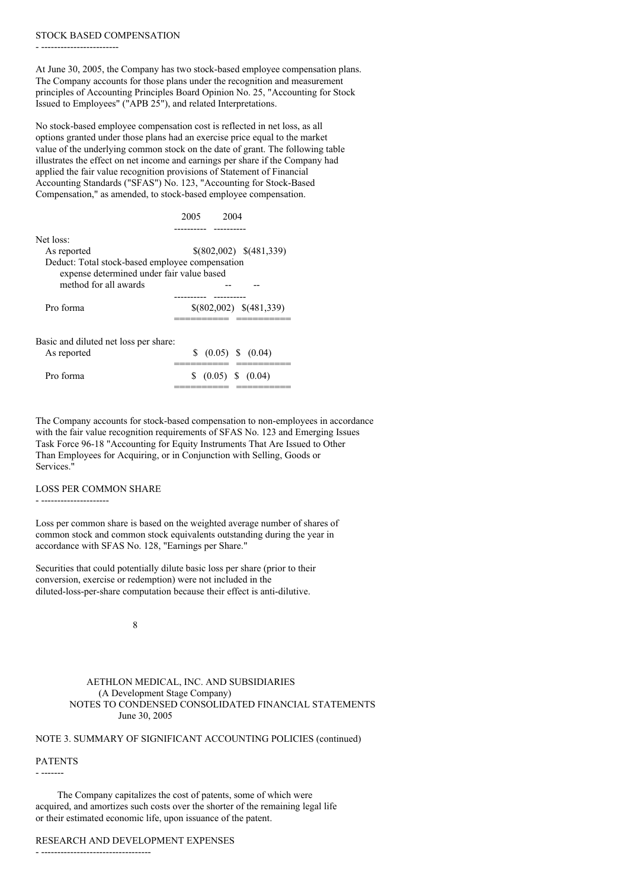- ------------------------

At June 30, 2005, the Company has two stock-based employee compensation plans. The Company accounts for those plans under the recognition and measurement principles of Accounting Principles Board Opinion No. 25, "Accounting for Stock Issued to Employees" ("APB 25"), and related Interpretations.

No stock-based employee compensation cost is reflected in net loss, as all options granted under those plans had an exercise price equal to the market value of the underlying common stock on the date of grant. The following table illustrates the effect on net income and earnings per share if the Company had applied the fair value recognition provisions of Statement of Financial Accounting Standards ("SFAS") No. 123, "Accounting for Stock-Based Compensation," as amended, to stock-based employee compensation.

|                                                                                                                       | 2005<br>2004                  |
|-----------------------------------------------------------------------------------------------------------------------|-------------------------------|
|                                                                                                                       |                               |
| Net loss:                                                                                                             |                               |
| As reported                                                                                                           | $$(802,002) \quad $(481,339)$ |
| Deduct: Total stock-based employee compensation<br>expense determined under fair value based<br>method for all awards |                               |
| Pro forma                                                                                                             | $$(802,002) \quad $(481,339)$ |
| Basic and diluted net loss per share:<br>As reported                                                                  | $(0.05)$ \$ $(0.04)$<br>S     |
|                                                                                                                       |                               |
| Pro forma                                                                                                             | $(0.05)$ \$ $(0.04)$          |

The Company accounts for stock-based compensation to non-employees in accordance with the fair value recognition requirements of SFAS No. 123 and Emerging Issues Task Force 96-18 "Accounting for Equity Instruments That Are Issued to Other Than Employees for Acquiring, or in Conjunction with Selling, Goods or Services."

========== ==========

# LOSS PER COMMON SHARE

- ---------------------

Loss per common share is based on the weighted average number of shares of common stock and common stock equivalents outstanding during the year in accordance with SFAS No. 128, "Earnings per Share."

Securities that could potentially dilute basic loss per share (prior to their conversion, exercise or redemption) were not included in the diluted-loss-per-share computation because their effect is anti-dilutive.

8

## AETHLON MEDICAL, INC. AND SUBSIDIARIES (A Development Stage Company) NOTES TO CONDENSED CONSOLIDATED FINANCIAL STATEMENTS June 30, 2005

# NOTE 3. SUMMARY OF SIGNIFICANT ACCOUNTING POLICIES (continued)

#### PATENTS

- -------

The Company capitalizes the cost of patents, some of which were acquired, and amortizes such costs over the shorter of the remaining legal life or their estimated economic life, upon issuance of the patent.

### RESEARCH AND DEVELOPMENT EXPENSES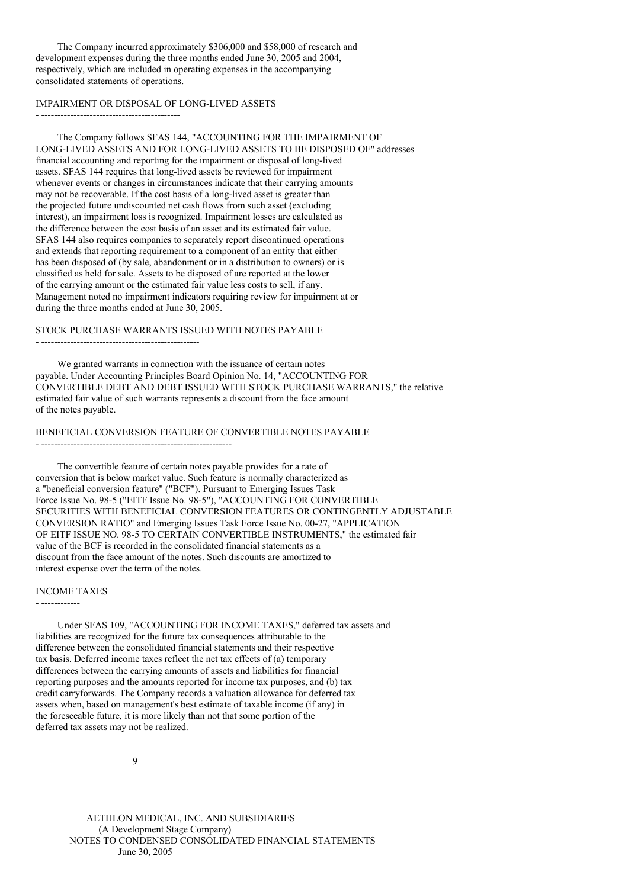The Company incurred approximately \$306,000 and \$58,000 of research and development expenses during the three months ended June 30, 2005 and 2004, respectively, which are included in operating expenses in the accompanying consolidated statements of operations.

### IMPAIRMENT OR DISPOSAL OF LONG-LIVED ASSETS

- -------------------------------------------

The Company follows SFAS 144, "ACCOUNTING FOR THE IMPAIRMENT OF LONG-LIVED ASSETS AND FOR LONG-LIVED ASSETS TO BE DISPOSED OF" addresses financial accounting and reporting for the impairment or disposal of long-lived assets. SFAS 144 requires that long-lived assets be reviewed for impairment whenever events or changes in circumstances indicate that their carrying amounts may not be recoverable. If the cost basis of a long-lived asset is greater than the projected future undiscounted net cash flows from such asset (excluding interest), an impairment loss is recognized. Impairment losses are calculated as the difference between the cost basis of an asset and its estimated fair value. SFAS 144 also requires companies to separately report discontinued operations and extends that reporting requirement to a component of an entity that either has been disposed of (by sale, abandonment or in a distribution to owners) or is classified as held for sale. Assets to be disposed of are reported at the lower of the carrying amount or the estimated fair value less costs to sell, if any. Management noted no impairment indicators requiring review for impairment at or during the three months ended at June 30, 2005.

# STOCK PURCHASE WARRANTS ISSUED WITH NOTES PAYABLE

- -------------------------------------------------

We granted warrants in connection with the issuance of certain notes payable. Under Accounting Principles Board Opinion No. 14, "ACCOUNTING FOR CONVERTIBLE DEBT AND DEBT ISSUED WITH STOCK PURCHASE WARRANTS," the relative estimated fair value of such warrants represents a discount from the face amount of the notes payable.

# BENEFICIAL CONVERSION FEATURE OF CONVERTIBLE NOTES PAYABLE

- -----------------------------------------------------------

The convertible feature of certain notes payable provides for a rate of conversion that is below market value. Such feature is normally characterized as a "beneficial conversion feature" ("BCF"). Pursuant to Emerging Issues Task Force Issue No. 98-5 ("EITF Issue No. 98-5"), "ACCOUNTING FOR CONVERTIBLE SECURITIES WITH BENEFICIAL CONVERSION FEATURES OR CONTINGENTLY ADJUSTABLE CONVERSION RATIO" and Emerging Issues Task Force Issue No. 00-27, "APPLICATION OF EITF ISSUE NO. 98-5 TO CERTAIN CONVERTIBLE INSTRUMENTS," the estimated fair value of the BCF is recorded in the consolidated financial statements as a discount from the face amount of the notes. Such discounts are amortized to interest expense over the term of the notes.

#### INCOME TAXES

- ------------

Under SFAS 109, "ACCOUNTING FOR INCOME TAXES," deferred tax assets and liabilities are recognized for the future tax consequences attributable to the difference between the consolidated financial statements and their respective tax basis. Deferred income taxes reflect the net tax effects of (a) temporary differences between the carrying amounts of assets and liabilities for financial reporting purposes and the amounts reported for income tax purposes, and (b) tax credit carryforwards. The Company records a valuation allowance for deferred tax assets when, based on management's best estimate of taxable income (if any) in the foreseeable future, it is more likely than not that some portion of the deferred tax assets may not be realized.

AETHLON MEDICAL, INC. AND SUBSIDIARIES (A Development Stage Company) NOTES TO CONDENSED CONSOLIDATED FINANCIAL STATEMENTS June 30, 2005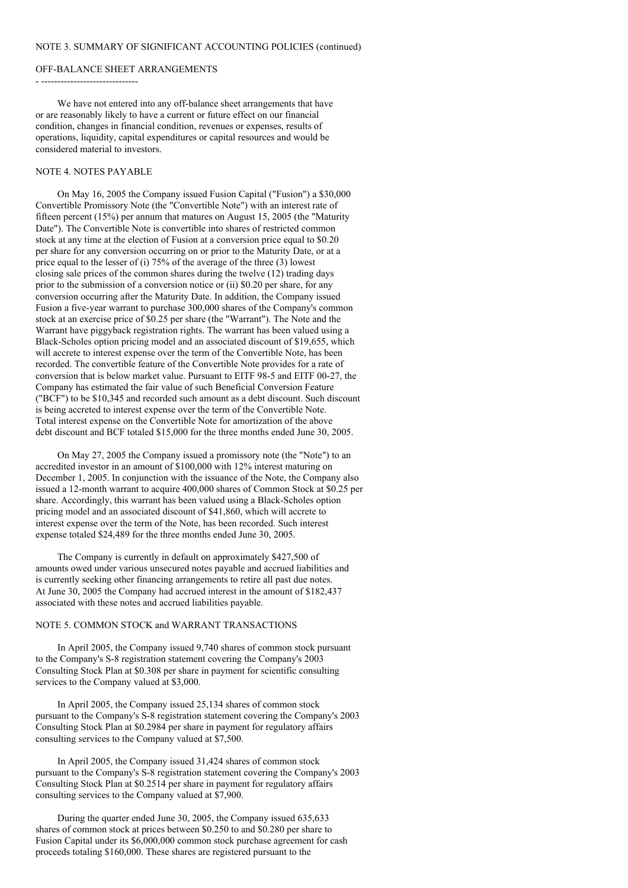# OFF-BALANCE SHEET ARRANGEMENTS

We have not entered into any off-balance sheet arrangements that have or are reasonably likely to have a current or future effect on our financial condition, changes in financial condition, revenues or expenses, results of operations, liquidity, capital expenditures or capital resources and would be considered material to investors.

#### NOTE 4. NOTES PAYABLE

- ------------------------------

On May 16, 2005 the Company issued Fusion Capital ("Fusion") a \$30,000 Convertible Promissory Note (the "Convertible Note") with an interest rate of fifteen percent (15%) per annum that matures on August 15, 2005 (the "Maturity Date"). The Convertible Note is convertible into shares of restricted common stock at any time at the election of Fusion at a conversion price equal to \$0.20 per share for any conversion occurring on or prior to the Maturity Date, or at a price equal to the lesser of (i) 75% of the average of the three (3) lowest closing sale prices of the common shares during the twelve (12) trading days prior to the submission of a conversion notice or (ii) \$0.20 per share, for any conversion occurring after the Maturity Date. In addition, the Company issued Fusion a five-year warrant to purchase 300,000 shares of the Company's common stock at an exercise price of \$0.25 per share (the "Warrant"). The Note and the Warrant have piggyback registration rights. The warrant has been valued using a Black-Scholes option pricing model and an associated discount of \$19,655, which will accrete to interest expense over the term of the Convertible Note, has been recorded. The convertible feature of the Convertible Note provides for a rate of conversion that is below market value. Pursuant to EITF 98-5 and EITF 00-27, the Company has estimated the fair value of such Beneficial Conversion Feature ("BCF") to be \$10,345 and recorded such amount as a debt discount. Such discount is being accreted to interest expense over the term of the Convertible Note. Total interest expense on the Convertible Note for amortization of the above debt discount and BCF totaled \$15,000 for the three months ended June 30, 2005.

On May 27, 2005 the Company issued a promissory note (the "Note") to an accredited investor in an amount of \$100,000 with 12% interest maturing on December 1, 2005. In conjunction with the issuance of the Note, the Company also issued a 12-month warrant to acquire 400,000 shares of Common Stock at \$0.25 per share. Accordingly, this warrant has been valued using a Black-Scholes option pricing model and an associated discount of \$41,860, which will accrete to interest expense over the term of the Note, has been recorded. Such interest expense totaled \$24,489 for the three months ended June 30, 2005.

The Company is currently in default on approximately \$427,500 of amounts owed under various unsecured notes payable and accrued liabilities and is currently seeking other financing arrangements to retire all past due notes. At June 30, 2005 the Company had accrued interest in the amount of \$182,437 associated with these notes and accrued liabilities payable.

#### NOTE 5. COMMON STOCK and WARRANT TRANSACTIONS

In April 2005, the Company issued 9,740 shares of common stock pursuant to the Company's S-8 registration statement covering the Company's 2003 Consulting Stock Plan at \$0.308 per share in payment for scientific consulting services to the Company valued at \$3,000.

In April 2005, the Company issued 25,134 shares of common stock pursuant to the Company's S-8 registration statement covering the Company's 2003 Consulting Stock Plan at \$0.2984 per share in payment for regulatory affairs consulting services to the Company valued at \$7,500.

In April 2005, the Company issued 31,424 shares of common stock pursuant to the Company's S-8 registration statement covering the Company's 2003 Consulting Stock Plan at \$0.2514 per share in payment for regulatory affairs consulting services to the Company valued at \$7,900.

During the quarter ended June 30, 2005, the Company issued 635,633 shares of common stock at prices between \$0.250 to and \$0.280 per share to Fusion Capital under its \$6,000,000 common stock purchase agreement for cash proceeds totaling \$160,000. These shares are registered pursuant to the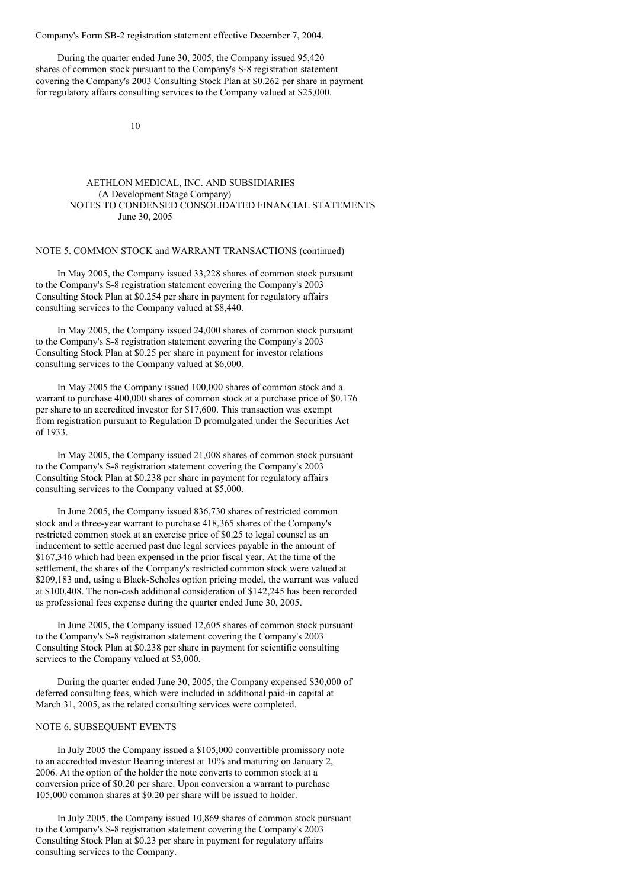Company's Form SB-2 registration statement effective December 7, 2004.

During the quarter ended June 30, 2005, the Company issued 95,420 shares of common stock pursuant to the Company's S-8 registration statement covering the Company's 2003 Consulting Stock Plan at \$0.262 per share in payment for regulatory affairs consulting services to the Company valued at \$25,000.

10

## AETHLON MEDICAL, INC. AND SUBSIDIARIES (A Development Stage Company) NOTES TO CONDENSED CONSOLIDATED FINANCIAL STATEMENTS June 30, 2005

#### NOTE 5. COMMON STOCK and WARRANT TRANSACTIONS (continued)

In May 2005, the Company issued 33,228 shares of common stock pursuant to the Company's S-8 registration statement covering the Company's 2003 Consulting Stock Plan at \$0.254 per share in payment for regulatory affairs consulting services to the Company valued at \$8,440.

In May 2005, the Company issued 24,000 shares of common stock pursuant to the Company's S-8 registration statement covering the Company's 2003 Consulting Stock Plan at \$0.25 per share in payment for investor relations consulting services to the Company valued at \$6,000.

In May 2005 the Company issued 100,000 shares of common stock and a warrant to purchase 400,000 shares of common stock at a purchase price of \$0.176 per share to an accredited investor for \$17,600. This transaction was exempt from registration pursuant to Regulation D promulgated under the Securities Act of 1933.

In May 2005, the Company issued 21,008 shares of common stock pursuant to the Company's S-8 registration statement covering the Company's 2003 Consulting Stock Plan at \$0.238 per share in payment for regulatory affairs consulting services to the Company valued at \$5,000.

In June 2005, the Company issued 836,730 shares of restricted common stock and a three-year warrant to purchase 418,365 shares of the Company's restricted common stock at an exercise price of \$0.25 to legal counsel as an inducement to settle accrued past due legal services payable in the amount of \$167,346 which had been expensed in the prior fiscal year. At the time of the settlement, the shares of the Company's restricted common stock were valued at \$209,183 and, using a Black-Scholes option pricing model, the warrant was valued at \$100,408. The non-cash additional consideration of \$142,245 has been recorded as professional fees expense during the quarter ended June 30, 2005.

In June 2005, the Company issued 12,605 shares of common stock pursuant to the Company's S-8 registration statement covering the Company's 2003 Consulting Stock Plan at \$0.238 per share in payment for scientific consulting services to the Company valued at \$3,000.

During the quarter ended June 30, 2005, the Company expensed \$30,000 of deferred consulting fees, which were included in additional paid-in capital at March 31, 2005, as the related consulting services were completed.

# NOTE 6. SUBSEQUENT EVENTS

In July 2005 the Company issued a \$105,000 convertible promissory note to an accredited investor Bearing interest at 10% and maturing on January 2, 2006. At the option of the holder the note converts to common stock at a conversion price of \$0.20 per share. Upon conversion a warrant to purchase 105,000 common shares at \$0.20 per share will be issued to holder.

In July 2005, the Company issued 10,869 shares of common stock pursuant to the Company's S-8 registration statement covering the Company's 2003 Consulting Stock Plan at \$0.23 per share in payment for regulatory affairs consulting services to the Company.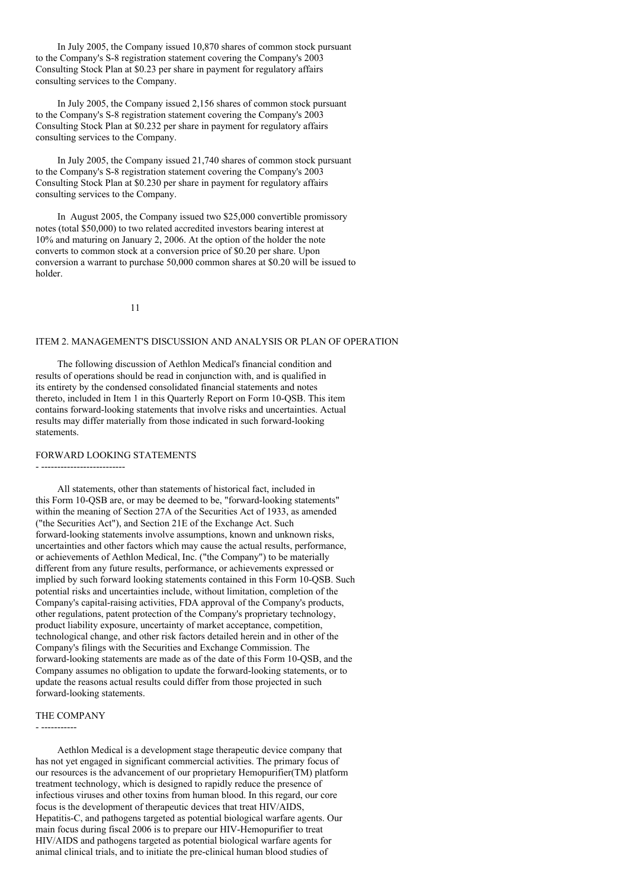In July 2005, the Company issued 10,870 shares of common stock pursuant to the Company's S-8 registration statement covering the Company's 2003 Consulting Stock Plan at \$0.23 per share in payment for regulatory affairs consulting services to the Company.

In July 2005, the Company issued 2,156 shares of common stock pursuant to the Company's S-8 registration statement covering the Company's 2003 Consulting Stock Plan at \$0.232 per share in payment for regulatory affairs consulting services to the Company.

In July 2005, the Company issued 21,740 shares of common stock pursuant to the Company's S-8 registration statement covering the Company's 2003 Consulting Stock Plan at \$0.230 per share in payment for regulatory affairs consulting services to the Company.

In August 2005, the Company issued two \$25,000 convertible promissory notes (total \$50,000) to two related accredited investors bearing interest at 10% and maturing on January 2, 2006. At the option of the holder the note converts to common stock at a conversion price of \$0.20 per share. Upon conversion a warrant to purchase 50,000 common shares at \$0.20 will be issued to holder.

11

# ITEM 2. MANAGEMENT'S DISCUSSION AND ANALYSIS OR PLAN OF OPERATION

The following discussion of Aethlon Medical's financial condition and results of operations should be read in conjunction with, and is qualified in its entirety by the condensed consolidated financial statements and notes thereto, included in Item 1 in this Quarterly Report on Form 10-QSB. This item contains forward-looking statements that involve risks and uncertainties. Actual results may differ materially from those indicated in such forward-looking statements.

### FORWARD LOOKING STATEMENTS

- --------------------------

All statements, other than statements of historical fact, included in this Form 10-QSB are, or may be deemed to be, "forward-looking statements" within the meaning of Section 27A of the Securities Act of 1933, as amended ("the Securities Act"), and Section 21E of the Exchange Act. Such forward-looking statements involve assumptions, known and unknown risks, uncertainties and other factors which may cause the actual results, performance, or achievements of Aethlon Medical, Inc. ("the Company") to be materially different from any future results, performance, or achievements expressed or implied by such forward looking statements contained in this Form 10-QSB. Such potential risks and uncertainties include, without limitation, completion of the Company's capital-raising activities, FDA approval of the Company's products, other regulations, patent protection of the Company's proprietary technology, product liability exposure, uncertainty of market acceptance, competition, technological change, and other risk factors detailed herein and in other of the Company's filings with the Securities and Exchange Commission. The forward-looking statements are made as of the date of this Form 10-QSB, and the Company assumes no obligation to update the forward-looking statements, or to update the reasons actual results could differ from those projected in such forward-looking statements.

#### THE COMPANY

- -----------

Aethlon Medical is a development stage therapeutic device company that has not yet engaged in significant commercial activities. The primary focus of our resources is the advancement of our proprietary Hemopurifier(TM) platform treatment technology, which is designed to rapidly reduce the presence of infectious viruses and other toxins from human blood. In this regard, our core focus is the development of therapeutic devices that treat HIV/AIDS, Hepatitis-C, and pathogens targeted as potential biological warfare agents. Our main focus during fiscal 2006 is to prepare our HIV-Hemopurifier to treat HIV/AIDS and pathogens targeted as potential biological warfare agents for animal clinical trials, and to initiate the pre-clinical human blood studies of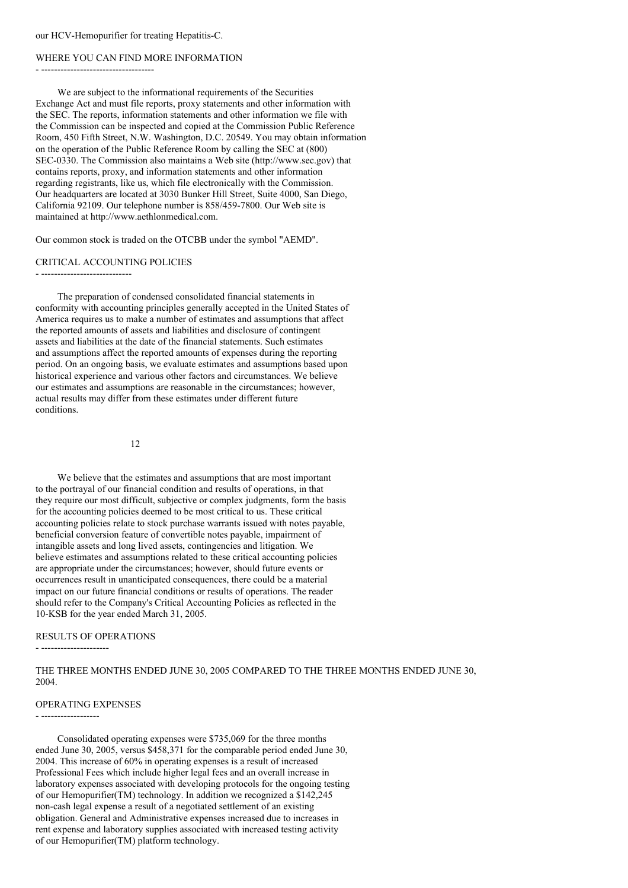our HCV-Hemopurifier for treating Hepatitis-C.

#### WHERE YOU CAN FIND MORE INFORMATION

#### - -----------------------------------

We are subject to the informational requirements of the Securities Exchange Act and must file reports, proxy statements and other information with the SEC. The reports, information statements and other information we file with the Commission can be inspected and copied at the Commission Public Reference Room, 450 Fifth Street, N.W. Washington, D.C. 20549. You may obtain information on the operation of the Public Reference Room by calling the SEC at (800) SEC-0330. The Commission also maintains a Web site (http://www.sec.gov) that contains reports, proxy, and information statements and other information regarding registrants, like us, which file electronically with the Commission. Our headquarters are located at 3030 Bunker Hill Street, Suite 4000, San Diego, California 92109. Our telephone number is 858/459-7800. Our Web site is maintained at http://www.aethlonmedical.com.

Our common stock is traded on the OTCBB under the symbol "AEMD".

## CRITICAL ACCOUNTING POLICIES

- ----------------------------

The preparation of condensed consolidated financial statements in conformity with accounting principles generally accepted in the United States of America requires us to make a number of estimates and assumptions that affect the reported amounts of assets and liabilities and disclosure of contingent assets and liabilities at the date of the financial statements. Such estimates and assumptions affect the reported amounts of expenses during the reporting period. On an ongoing basis, we evaluate estimates and assumptions based upon historical experience and various other factors and circumstances. We believe our estimates and assumptions are reasonable in the circumstances; however, actual results may differ from these estimates under different future conditions.

12

We believe that the estimates and assumptions that are most important to the portrayal of our financial condition and results of operations, in that they require our most difficult, subjective or complex judgments, form the basis for the accounting policies deemed to be most critical to us. These critical accounting policies relate to stock purchase warrants issued with notes payable, beneficial conversion feature of convertible notes payable, impairment of intangible assets and long lived assets, contingencies and litigation. We believe estimates and assumptions related to these critical accounting policies are appropriate under the circumstances; however, should future events or occurrences result in unanticipated consequences, there could be a material impact on our future financial conditions or results of operations. The reader should refer to the Company's Critical Accounting Policies as reflected in the 10-KSB for the year ended March 31, 2005.

#### RESULTS OF OPERATIONS

- ---------------------

THE THREE MONTHS ENDED JUNE 30, 2005 COMPARED TO THE THREE MONTHS ENDED JUNE 30, 2004.

#### OPERATING EXPENSES

- ------------------

Consolidated operating expenses were \$735,069 for the three months ended June 30, 2005, versus \$458,371 for the comparable period ended June 30, 2004. This increase of 60% in operating expenses is a result of increased Professional Fees which include higher legal fees and an overall increase in laboratory expenses associated with developing protocols for the ongoing testing of our Hemopurifier(TM) technology. In addition we recognized a \$142,245 non-cash legal expense a result of a negotiated settlement of an existing obligation. General and Administrative expenses increased due to increases in rent expense and laboratory supplies associated with increased testing activity of our Hemopurifier(TM) platform technology.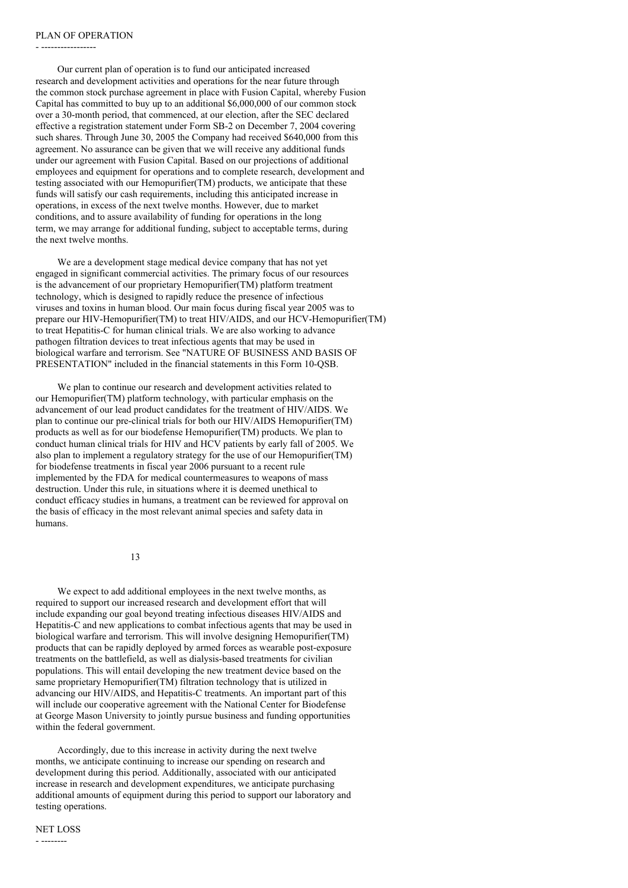- -----------------

Our current plan of operation is to fund our anticipated increased research and development activities and operations for the near future through the common stock purchase agreement in place with Fusion Capital, whereby Fusion Capital has committed to buy up to an additional \$6,000,000 of our common stock over a 30-month period, that commenced, at our election, after the SEC declared effective a registration statement under Form SB-2 on December 7, 2004 covering such shares. Through June 30, 2005 the Company had received \$640,000 from this agreement. No assurance can be given that we will receive any additional funds under our agreement with Fusion Capital. Based on our projections of additional employees and equipment for operations and to complete research, development and testing associated with our Hemopurifier(TM) products, we anticipate that these funds will satisfy our cash requirements, including this anticipated increase in operations, in excess of the next twelve months. However, due to market conditions, and to assure availability of funding for operations in the long term, we may arrange for additional funding, subject to acceptable terms, during the next twelve months.

We are a development stage medical device company that has not yet engaged in significant commercial activities. The primary focus of our resources is the advancement of our proprietary Hemopurifier(TM) platform treatment technology, which is designed to rapidly reduce the presence of infectious viruses and toxins in human blood. Our main focus during fiscal year 2005 was to prepare our HIV-Hemopurifier(TM) to treat HIV/AIDS, and our HCV-Hemopurifier(TM) to treat Hepatitis-C for human clinical trials. We are also working to advance pathogen filtration devices to treat infectious agents that may be used in biological warfare and terrorism. See "NATURE OF BUSINESS AND BASIS OF PRESENTATION" included in the financial statements in this Form 10-QSB.

We plan to continue our research and development activities related to our Hemopurifier(TM) platform technology, with particular emphasis on the advancement of our lead product candidates for the treatment of HIV/AIDS. We plan to continue our pre-clinical trials for both our HIV/AIDS Hemopurifier(TM) products as well as for our biodefense Hemopurifier(TM) products. We plan to conduct human clinical trials for HIV and HCV patients by early fall of 2005. We also plan to implement a regulatory strategy for the use of our Hemopurifier(TM) for biodefense treatments in fiscal year 2006 pursuant to a recent rule implemented by the FDA for medical countermeasures to weapons of mass destruction. Under this rule, in situations where it is deemed unethical to conduct efficacy studies in humans, a treatment can be reviewed for approval on the basis of efficacy in the most relevant animal species and safety data in humans.

13

We expect to add additional employees in the next twelve months, as required to support our increased research and development effort that will include expanding our goal beyond treating infectious diseases HIV/AIDS and Hepatitis-C and new applications to combat infectious agents that may be used in biological warfare and terrorism. This will involve designing Hemopurifier(TM) products that can be rapidly deployed by armed forces as wearable post-exposure treatments on the battlefield, as well as dialysis-based treatments for civilian populations. This will entail developing the new treatment device based on the same proprietary Hemopurifier(TM) filtration technology that is utilized in advancing our HIV/AIDS, and Hepatitis-C treatments. An important part of this will include our cooperative agreement with the National Center for Biodefense at George Mason University to jointly pursue business and funding opportunities within the federal government.

Accordingly, due to this increase in activity during the next twelve months, we anticipate continuing to increase our spending on research and development during this period. Additionally, associated with our anticipated increase in research and development expenditures, we anticipate purchasing additional amounts of equipment during this period to support our laboratory and testing operations.

NET LOSS

- --------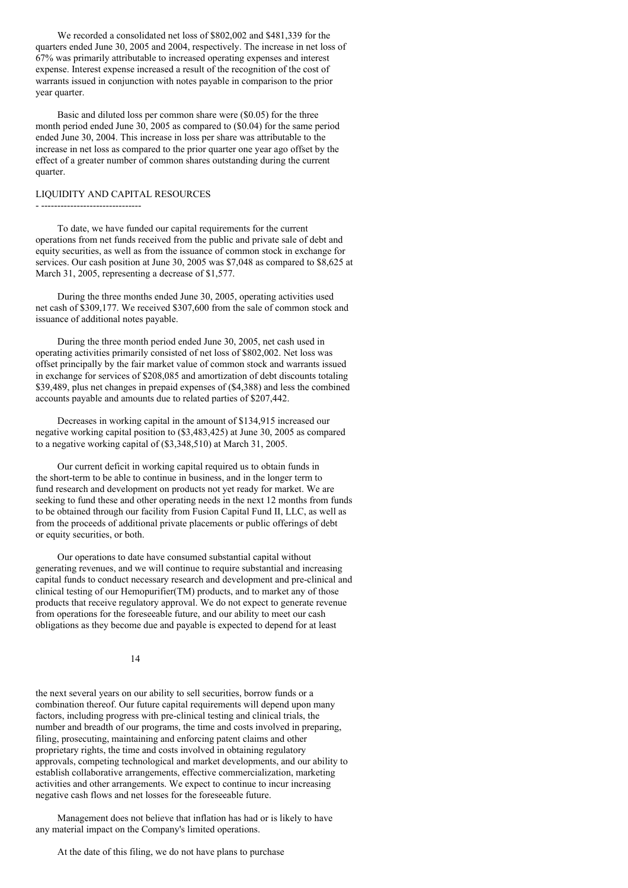We recorded a consolidated net loss of \$802,002 and \$481,339 for the quarters ended June 30, 2005 and 2004, respectively. The increase in net loss of 67% was primarily attributable to increased operating expenses and interest expense. Interest expense increased a result of the recognition of the cost of warrants issued in conjunction with notes payable in comparison to the prior year quarter.

Basic and diluted loss per common share were (\$0.05) for the three month period ended June 30, 2005 as compared to (\$0.04) for the same period ended June 30, 2004. This increase in loss per share was attributable to the increase in net loss as compared to the prior quarter one year ago offset by the effect of a greater number of common shares outstanding during the current quarter.

## LIQUIDITY AND CAPITAL RESOURCES

- -------------------------------

To date, we have funded our capital requirements for the current operations from net funds received from the public and private sale of debt and equity securities, as well as from the issuance of common stock in exchange for services. Our cash position at June 30, 2005 was \$7,048 as compared to \$8,625 at March 31, 2005, representing a decrease of \$1,577.

During the three months ended June 30, 2005, operating activities used net cash of \$309,177. We received \$307,600 from the sale of common stock and issuance of additional notes payable.

During the three month period ended June 30, 2005, net cash used in operating activities primarily consisted of net loss of \$802,002. Net loss was offset principally by the fair market value of common stock and warrants issued in exchange for services of \$208,085 and amortization of debt discounts totaling \$39,489, plus net changes in prepaid expenses of (\$4,388) and less the combined accounts payable and amounts due to related parties of \$207,442.

Decreases in working capital in the amount of \$134,915 increased our negative working capital position to (\$3,483,425) at June 30, 2005 as compared to a negative working capital of (\$3,348,510) at March 31, 2005.

Our current deficit in working capital required us to obtain funds in the short-term to be able to continue in business, and in the longer term to fund research and development on products not yet ready for market. We are seeking to fund these and other operating needs in the next 12 months from funds to be obtained through our facility from Fusion Capital Fund II, LLC, as well as from the proceeds of additional private placements or public offerings of debt or equity securities, or both.

Our operations to date have consumed substantial capital without generating revenues, and we will continue to require substantial and increasing capital funds to conduct necessary research and development and pre-clinical and clinical testing of our Hemopurifier(TM) products, and to market any of those products that receive regulatory approval. We do not expect to generate revenue from operations for the foreseeable future, and our ability to meet our cash obligations as they become due and payable is expected to depend for at least

14

the next several years on our ability to sell securities, borrow funds or a combination thereof. Our future capital requirements will depend upon many factors, including progress with pre-clinical testing and clinical trials, the number and breadth of our programs, the time and costs involved in preparing, filing, prosecuting, maintaining and enforcing patent claims and other proprietary rights, the time and costs involved in obtaining regulatory approvals, competing technological and market developments, and our ability to establish collaborative arrangements, effective commercialization, marketing activities and other arrangements. We expect to continue to incur increasing negative cash flows and net losses for the foreseeable future.

Management does not believe that inflation has had or is likely to have any material impact on the Company's limited operations.

At the date of this filing, we do not have plans to purchase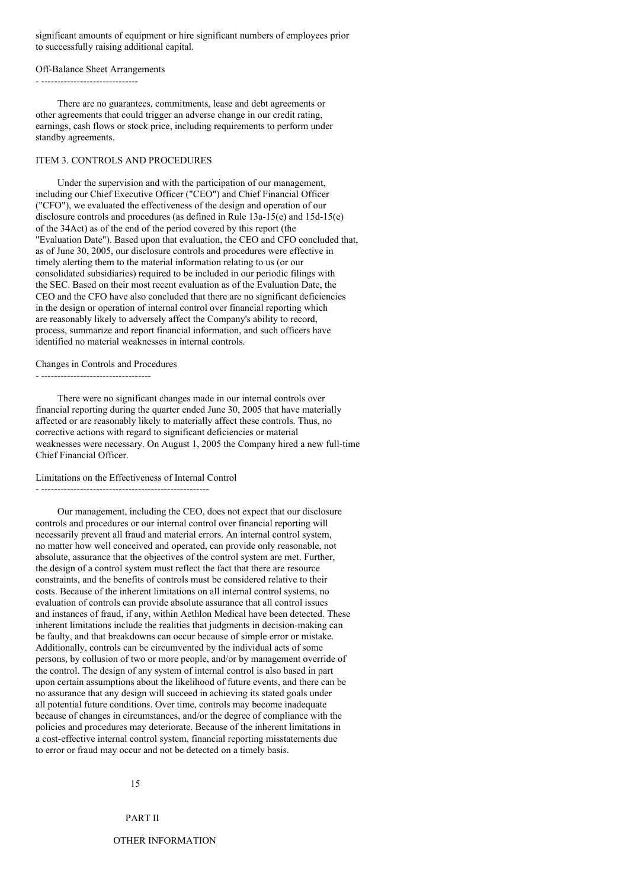significant amounts of equipment or hire significant numbers of employees prior to successfully raising additional capital.

#### Off-Balance Sheet Arrangements

- ------------------------------

There are no guarantees, commitments, lease and debt agreements or other agreements that could trigger an adverse change in our credit rating, earnings, cash flows or stock price, including requirements to perform under standby agreements.

# ITEM 3. CONTROLS AND PROCEDURES

Under the supervision and with the participation of our management, including our Chief Executive Officer ("CEO") and Chief Financial Officer ("CFO"), we evaluated the effectiveness of the design and operation of our disclosure controls and procedures (as defined in Rule 13a-15(e) and 15d-15(e) of the 34Act) as of the end of the period covered by this report (the "Evaluation Date"). Based upon that evaluation, the CEO and CFO concluded that, as of June 30, 2005, our disclosure controls and procedures were effective in timely alerting them to the material information relating to us (or our consolidated subsidiaries) required to be included in our periodic filings with the SEC. Based on their most recent evaluation as of the Evaluation Date, the CEO and the CFO have also concluded that there are no significant deficiencies in the design or operation of internal control over financial reporting which are reasonably likely to adversely affect the Company's ability to record, process, summarize and report financial information, and such officers have identified no material weaknesses in internal controls.

Changes in Controls and Procedures

There were no significant changes made in our internal controls over financial reporting during the quarter ended June 30, 2005 that have materially affected or are reasonably likely to materially affect these controls. Thus, no corrective actions with regard to significant deficiencies or material weaknesses were necessary. On August 1, 2005 the Company hired a new full-time Chief Financial Officer.

Limitations on the Effectiveness of Internal Control

- ----------------------------------------------------

Our management, including the CEO, does not expect that our disclosure controls and procedures or our internal control over financial reporting will necessarily prevent all fraud and material errors. An internal control system, no matter how well conceived and operated, can provide only reasonable, not absolute, assurance that the objectives of the control system are met. Further, the design of a control system must reflect the fact that there are resource constraints, and the benefits of controls must be considered relative to their costs. Because of the inherent limitations on all internal control systems, no evaluation of controls can provide absolute assurance that all control issues and instances of fraud, if any, within Aethlon Medical have been detected. These inherent limitations include the realities that judgments in decision-making can be faulty, and that breakdowns can occur because of simple error or mistake. Additionally, controls can be circumvented by the individual acts of some persons, by collusion of two or more people, and/or by management override of the control. The design of any system of internal control is also based in part upon certain assumptions about the likelihood of future events, and there can be no assurance that any design will succeed in achieving its stated goals under all potential future conditions. Over time, controls may become inadequate because of changes in circumstances, and/or the degree of compliance with the policies and procedures may deteriorate. Because of the inherent limitations in a cost-effective internal control system, financial reporting misstatements due to error or fraud may occur and not be detected on a timely basis.

PART II

OTHER INFORMATION

<sup>-</sup> ----------------------------------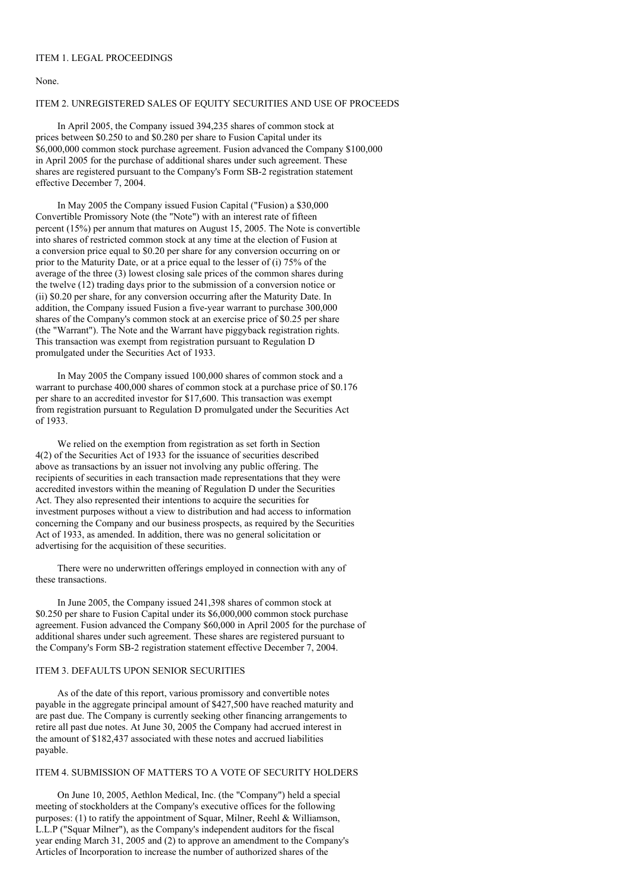#### ITEM 1. LEGAL PROCEEDINGS

None.

### ITEM 2. UNREGISTERED SALES OF EQUITY SECURITIES AND USE OF PROCEEDS

In April 2005, the Company issued 394,235 shares of common stock at prices between \$0.250 to and \$0.280 per share to Fusion Capital under its \$6,000,000 common stock purchase agreement. Fusion advanced the Company \$100,000 in April 2005 for the purchase of additional shares under such agreement. These shares are registered pursuant to the Company's Form SB-2 registration statement effective December 7, 2004.

In May 2005 the Company issued Fusion Capital ("Fusion) a \$30,000 Convertible Promissory Note (the "Note") with an interest rate of fifteen percent (15%) per annum that matures on August 15, 2005. The Note is convertible into shares of restricted common stock at any time at the election of Fusion at a conversion price equal to \$0.20 per share for any conversion occurring on or prior to the Maturity Date, or at a price equal to the lesser of (i) 75% of the average of the three (3) lowest closing sale prices of the common shares during the twelve (12) trading days prior to the submission of a conversion notice or (ii) \$0.20 per share, for any conversion occurring after the Maturity Date. In addition, the Company issued Fusion a five-year warrant to purchase 300,000 shares of the Company's common stock at an exercise price of \$0.25 per share (the "Warrant"). The Note and the Warrant have piggyback registration rights. This transaction was exempt from registration pursuant to Regulation D promulgated under the Securities Act of 1933.

In May 2005 the Company issued 100,000 shares of common stock and a warrant to purchase 400,000 shares of common stock at a purchase price of \$0.176 per share to an accredited investor for \$17,600. This transaction was exempt from registration pursuant to Regulation D promulgated under the Securities Act of 1933.

We relied on the exemption from registration as set forth in Section 4(2) of the Securities Act of 1933 for the issuance of securities described above as transactions by an issuer not involving any public offering. The recipients of securities in each transaction made representations that they were accredited investors within the meaning of Regulation D under the Securities Act. They also represented their intentions to acquire the securities for investment purposes without a view to distribution and had access to information concerning the Company and our business prospects, as required by the Securities Act of 1933, as amended. In addition, there was no general solicitation or advertising for the acquisition of these securities.

There were no underwritten offerings employed in connection with any of these transactions.

In June 2005, the Company issued 241,398 shares of common stock at \$0.250 per share to Fusion Capital under its \$6,000,000 common stock purchase agreement. Fusion advanced the Company \$60,000 in April 2005 for the purchase of additional shares under such agreement. These shares are registered pursuant to the Company's Form SB-2 registration statement effective December 7, 2004.

### ITEM 3. DEFAULTS UPON SENIOR SECURITIES

As of the date of this report, various promissory and convertible notes payable in the aggregate principal amount of \$427,500 have reached maturity and are past due. The Company is currently seeking other financing arrangements to retire all past due notes. At June 30, 2005 the Company had accrued interest in the amount of \$182,437 associated with these notes and accrued liabilities payable.

# ITEM 4. SUBMISSION OF MATTERS TO A VOTE OF SECURITY HOLDERS

On June 10, 2005, Aethlon Medical, Inc. (the "Company") held a special meeting of stockholders at the Company's executive offices for the following purposes: (1) to ratify the appointment of Squar, Milner, Reehl & Williamson, L.L.P ("Squar Milner"), as the Company's independent auditors for the fiscal year ending March 31, 2005 and (2) to approve an amendment to the Company's Articles of Incorporation to increase the number of authorized shares of the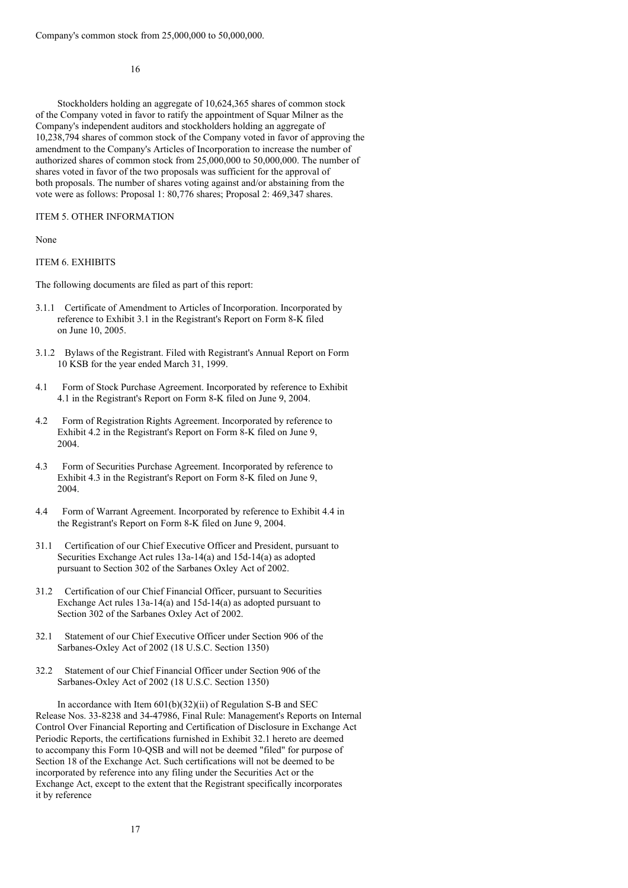Company's common stock from 25,000,000 to 50,000,000.

16

Stockholders holding an aggregate of 10,624,365 shares of common stock of the Company voted in favor to ratify the appointment of Squar Milner as the Company's independent auditors and stockholders holding an aggregate of 10,238,794 shares of common stock of the Company voted in favor of approving the amendment to the Company's Articles of Incorporation to increase the number of authorized shares of common stock from 25,000,000 to 50,000,000. The number of shares voted in favor of the two proposals was sufficient for the approval of both proposals. The number of shares voting against and/or abstaining from the vote were as follows: Proposal 1: 80,776 shares; Proposal 2: 469,347 shares.

ITEM 5. OTHER INFORMATION

#### None

# ITEM 6. EXHIBITS

The following documents are filed as part of this report:

- 3.1.1 Certificate of Amendment to Articles of Incorporation. Incorporated by reference to Exhibit 3.1 in the Registrant's Report on Form 8-K filed on June 10, 2005.
- 3.1.2 Bylaws of the Registrant. Filed with Registrant's Annual Report on Form 10 KSB for the year ended March 31, 1999.
- 4.1 Form of Stock Purchase Agreement. Incorporated by reference to Exhibit 4.1 in the Registrant's Report on Form 8-K filed on June 9, 2004.
- 4.2 Form of Registration Rights Agreement. Incorporated by reference to Exhibit 4.2 in the Registrant's Report on Form 8-K filed on June 9, 2004.
- 4.3 Form of Securities Purchase Agreement. Incorporated by reference to Exhibit 4.3 in the Registrant's Report on Form 8-K filed on June 9, 2004.
- 4.4 Form of Warrant Agreement. Incorporated by reference to Exhibit 4.4 in the Registrant's Report on Form 8-K filed on June 9, 2004.
- 31.1 Certification of our Chief Executive Officer and President, pursuant to Securities Exchange Act rules 13a-14(a) and 15d-14(a) as adopted pursuant to Section 302 of the Sarbanes Oxley Act of 2002.
- 31.2 Certification of our Chief Financial Officer, pursuant to Securities Exchange Act rules 13a-14(a) and 15d-14(a) as adopted pursuant to Section 302 of the Sarbanes Oxley Act of 2002.
- 32.1 Statement of our Chief Executive Officer under Section 906 of the Sarbanes-Oxley Act of 2002 (18 U.S.C. Section 1350)
- 32.2 Statement of our Chief Financial Officer under Section 906 of the Sarbanes-Oxley Act of 2002 (18 U.S.C. Section 1350)

In accordance with Item 601(b)(32)(ii) of Regulation S-B and SEC Release Nos. 33-8238 and 34-47986, Final Rule: Management's Reports on Internal Control Over Financial Reporting and Certification of Disclosure in Exchange Act Periodic Reports, the certifications furnished in Exhibit 32.1 hereto are deemed to accompany this Form 10-QSB and will not be deemed "filed" for purpose of Section 18 of the Exchange Act. Such certifications will not be deemed to be incorporated by reference into any filing under the Securities Act or the Exchange Act, except to the extent that the Registrant specifically incorporates it by reference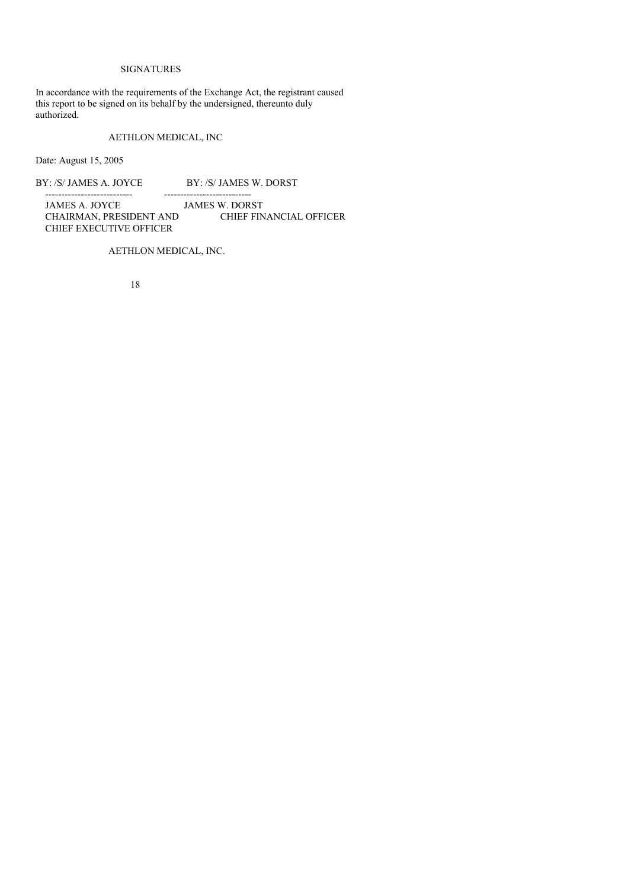# SIGNATURES

In accordance with the requirements of the Exchange Act, the registrant caused this report to be signed on its behalf by the undersigned, thereunto duly authorized.

# AETHLON MEDICAL, INC

Date: August 15, 2005

BY: /S/ JAMES A. JOYCE BY: /S/ JAMES W. DORST

--------------------------- ---------------------------

JAMES A. JOYCE JAMES W. DORST CHAIRMAN, PRESIDENT AND CHIEF FINANCIAL OFFICER CHIEF EXECUTIVE OFFICER

AETHLON MEDICAL, INC.

18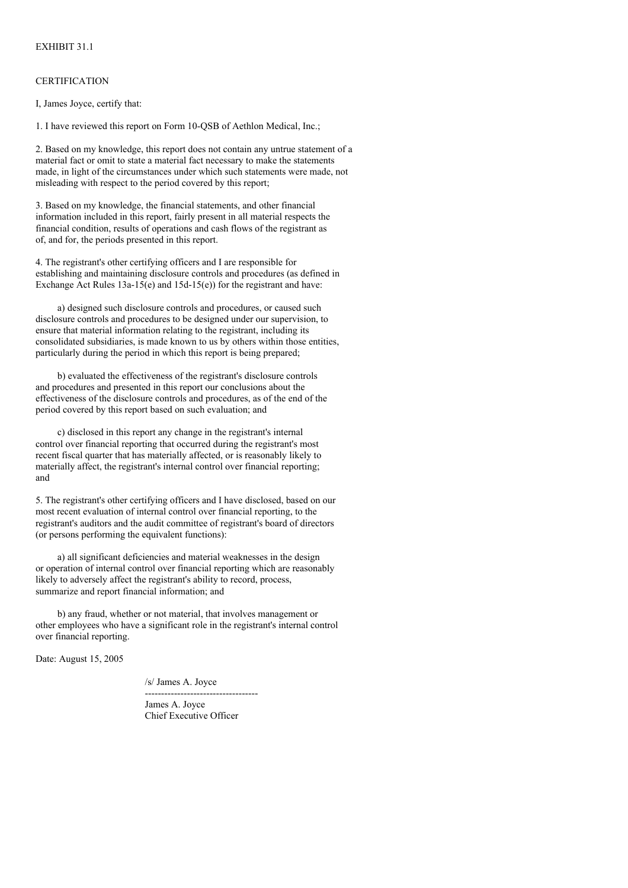#### EXHIBIT 31.1

#### **CERTIFICATION**

I, James Joyce, certify that:

1. I have reviewed this report on Form 10-QSB of Aethlon Medical, Inc.;

2. Based on my knowledge, this report does not contain any untrue statement of a material fact or omit to state a material fact necessary to make the statements made, in light of the circumstances under which such statements were made, not misleading with respect to the period covered by this report;

3. Based on my knowledge, the financial statements, and other financial information included in this report, fairly present in all material respects the financial condition, results of operations and cash flows of the registrant as of, and for, the periods presented in this report.

4. The registrant's other certifying officers and I are responsible for establishing and maintaining disclosure controls and procedures (as defined in Exchange Act Rules  $13a-15(e)$  and  $15d-15(e)$  for the registrant and have:

a) designed such disclosure controls and procedures, or caused such disclosure controls and procedures to be designed under our supervision, to ensure that material information relating to the registrant, including its consolidated subsidiaries, is made known to us by others within those entities, particularly during the period in which this report is being prepared;

b) evaluated the effectiveness of the registrant's disclosure controls and procedures and presented in this report our conclusions about the effectiveness of the disclosure controls and procedures, as of the end of the period covered by this report based on such evaluation; and

c) disclosed in this report any change in the registrant's internal control over financial reporting that occurred during the registrant's most recent fiscal quarter that has materially affected, or is reasonably likely to materially affect, the registrant's internal control over financial reporting; and

5. The registrant's other certifying officers and I have disclosed, based on our most recent evaluation of internal control over financial reporting, to the registrant's auditors and the audit committee of registrant's board of directors (or persons performing the equivalent functions):

a) all significant deficiencies and material weaknesses in the design or operation of internal control over financial reporting which are reasonably likely to adversely affect the registrant's ability to record, process, summarize and report financial information; and

b) any fraud, whether or not material, that involves management or other employees who have a significant role in the registrant's internal control over financial reporting.

Date: August 15, 2005

/s/ James A. Joyce -----------------------------------

James A. Joyce Chief Executive Officer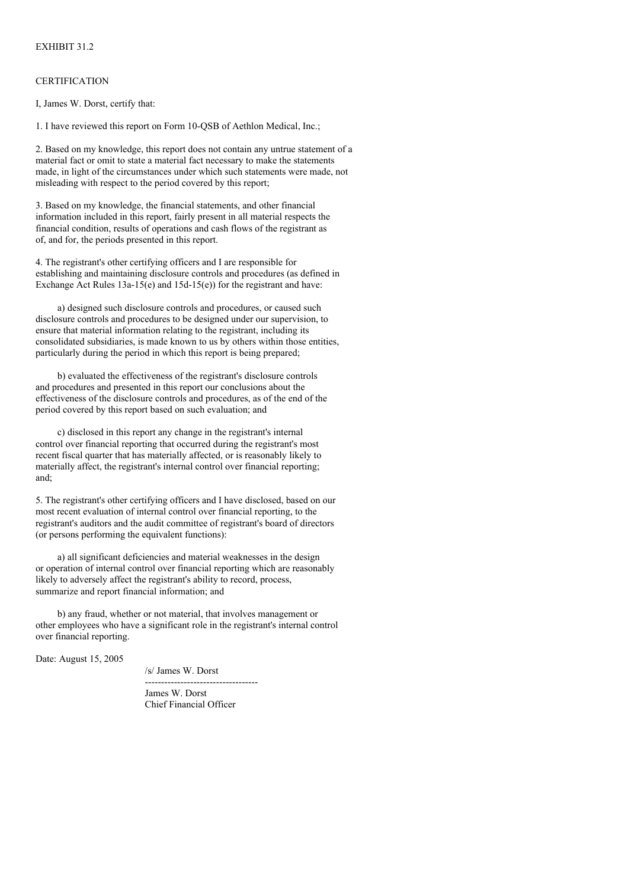## EXHIBIT 31.2

### **CERTIFICATION**

I, James W. Dorst, certify that:

1. I have reviewed this report on Form 10-QSB of Aethlon Medical, Inc.;

2. Based on my knowledge, this report does not contain any untrue statement of a material fact or omit to state a material fact necessary to make the statements made, in light of the circumstances under which such statements were made, not misleading with respect to the period covered by this report;

3. Based on my knowledge, the financial statements, and other financial information included in this report, fairly present in all material respects the financial condition, results of operations and cash flows of the registrant as of, and for, the periods presented in this report.

4. The registrant's other certifying officers and I are responsible for establishing and maintaining disclosure controls and procedures (as defined in Exchange Act Rules  $13a-15(e)$  and  $15d-15(e)$  for the registrant and have:

a) designed such disclosure controls and procedures, or caused such disclosure controls and procedures to be designed under our supervision, to ensure that material information relating to the registrant, including its consolidated subsidiaries, is made known to us by others within those entities, particularly during the period in which this report is being prepared;

b) evaluated the effectiveness of the registrant's disclosure controls and procedures and presented in this report our conclusions about the effectiveness of the disclosure controls and procedures, as of the end of the period covered by this report based on such evaluation; and

c) disclosed in this report any change in the registrant's internal control over financial reporting that occurred during the registrant's most recent fiscal quarter that has materially affected, or is reasonably likely to materially affect, the registrant's internal control over financial reporting; and;

5. The registrant's other certifying officers and I have disclosed, based on our most recent evaluation of internal control over financial reporting, to the registrant's auditors and the audit committee of registrant's board of directors (or persons performing the equivalent functions):

a) all significant deficiencies and material weaknesses in the design or operation of internal control over financial reporting which are reasonably likely to adversely affect the registrant's ability to record, process, summarize and report financial information; and

b) any fraud, whether or not material, that involves management or other employees who have a significant role in the registrant's internal control over financial reporting.

Date: August 15, 2005

/s/ James W. Dorst

----------------------------------- James W. Dorst Chief Financial Officer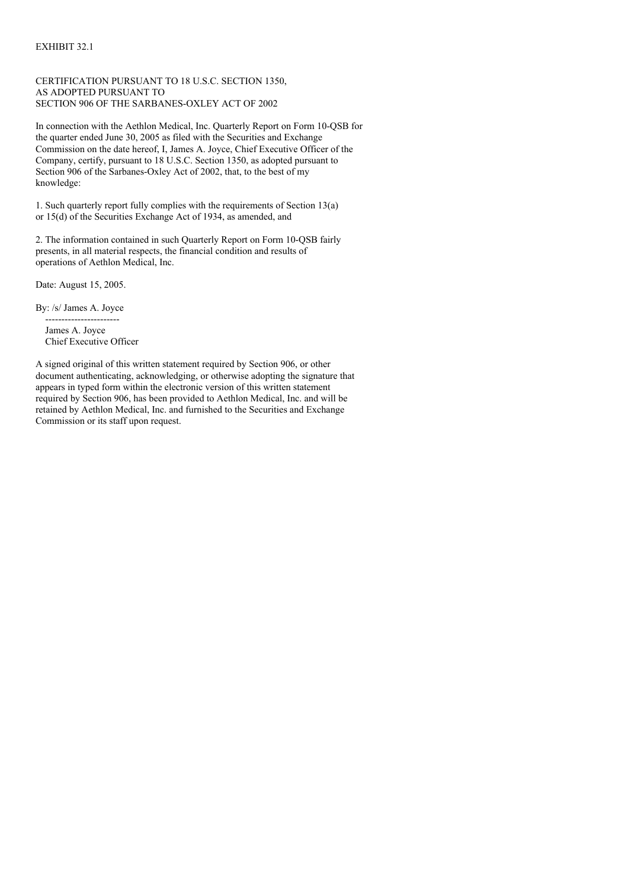### EXHIBIT 32.1

# CERTIFICATION PURSUANT TO 18 U.S.C. SECTION 1350, AS ADOPTED PURSUANT TO SECTION 906 OF THE SARBANES-OXLEY ACT OF 2002

In connection with the Aethlon Medical, Inc. Quarterly Report on Form 10-QSB for the quarter ended June 30, 2005 as filed with the Securities and Exchange Commission on the date hereof, I, James A. Joyce, Chief Executive Officer of the Company, certify, pursuant to 18 U.S.C. Section 1350, as adopted pursuant to Section 906 of the Sarbanes-Oxley Act of 2002, that, to the best of my knowledge:

1. Such quarterly report fully complies with the requirements of Section 13(a) or 15(d) of the Securities Exchange Act of 1934, as amended, and

2. The information contained in such Quarterly Report on Form 10-QSB fairly presents, in all material respects, the financial condition and results of operations of Aethlon Medical, Inc.

Date: August 15, 2005.

By: /s/ James A. Joyce

----------------------- James A. Joyce Chief Executive Officer

A signed original of this written statement required by Section 906, or other document authenticating, acknowledging, or otherwise adopting the signature that appears in typed form within the electronic version of this written statement required by Section 906, has been provided to Aethlon Medical, Inc. and will be retained by Aethlon Medical, Inc. and furnished to the Securities and Exchange Commission or its staff upon request.